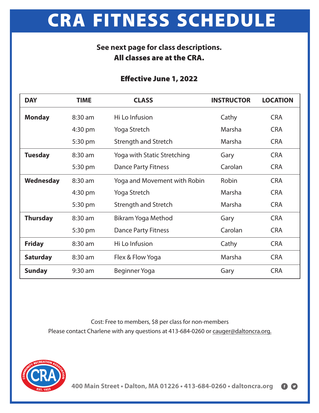# **CRA FITNESS SCHEDULE**

### **See next page for class descriptions. All classes are at the CRA.**

#### **Effective June 1, 2022**

| <b>DAY</b>      | <b>TIME</b> | <b>CLASS</b>                 | <b>INSTRUCTOR</b> | <b>LOCATION</b> |
|-----------------|-------------|------------------------------|-------------------|-----------------|
| <b>Monday</b>   | 8:30 am     | Hi Lo Infusion               | Cathy             | <b>CRA</b>      |
|                 | 4:30 pm     | Yoga Stretch                 | Marsha            | <b>CRA</b>      |
|                 | 5:30 pm     | Strength and Stretch         | Marsha            | <b>CRA</b>      |
| <b>Tuesday</b>  | 8:30 am     | Yoga with Static Stretching  | Gary              | <b>CRA</b>      |
|                 | 5:30 pm     | <b>Dance Party Fitness</b>   | Carolan           | <b>CRA</b>      |
| Wednesday       | 8:30 am     | Yoga and Movement with Robin | <b>Robin</b>      | <b>CRA</b>      |
|                 | 4:30 pm     | Yoga Stretch                 | Marsha            | <b>CRA</b>      |
|                 | 5:30 pm     | Strength and Stretch         | Marsha            | <b>CRA</b>      |
| <b>Thursday</b> | 8:30 am     | Bikram Yoga Method           | Gary              | <b>CRA</b>      |
|                 | 5:30 pm     | <b>Dance Party Fitness</b>   | Carolan           | <b>CRA</b>      |
| <b>Friday</b>   | 8:30 am     | Hi Lo Infusion               | Cathy             | <b>CRA</b>      |
| <b>Saturday</b> | 8:30 am     | Flex & Flow Yoga             | Marsha            | <b>CRA</b>      |
| <b>Sunday</b>   | $9:30$ am   | Beginner Yoga                | Gary              | <b>CRA</b>      |

Cost: Free to members, \$8 per class for non-members Please contact Charlene with any questions at 413-684-0260 or cauger@daltoncra.org.